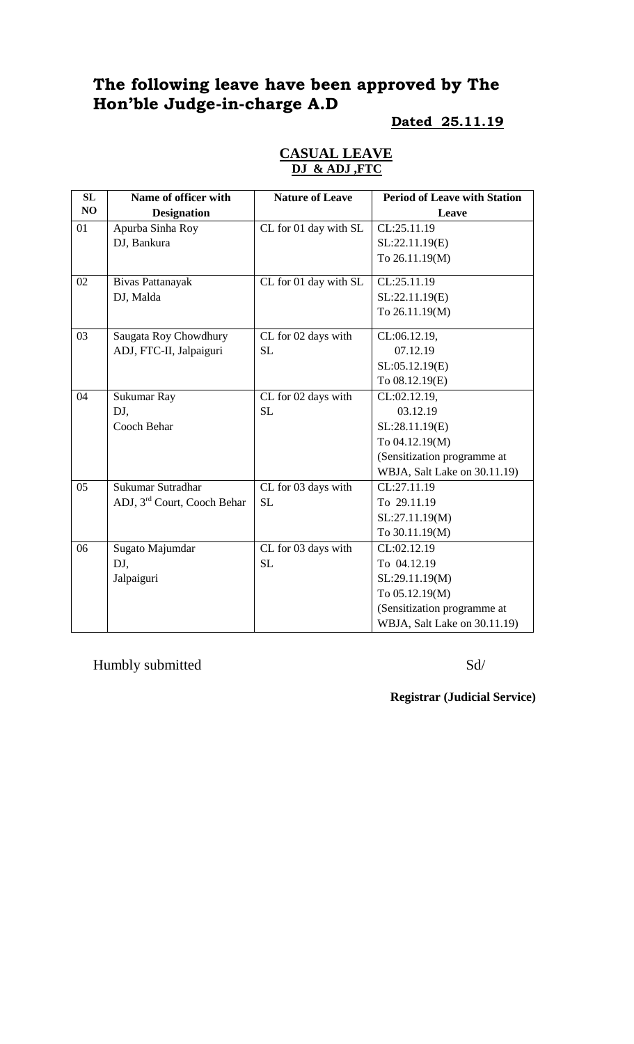# **The following leave have been approved by The Hon'ble Judge-in-charge A.D**

#### **Dated 25.11.19**

|  | <b>CASUAL LEAVE</b> |  |
|--|---------------------|--|
|  | DJ & ADJ ,FTC       |  |

| SL | Name of officer with                    | <b>Nature of Leave</b> | <b>Period of Leave with Station</b> |
|----|-----------------------------------------|------------------------|-------------------------------------|
| NO | <b>Designation</b>                      |                        | Leave                               |
| 01 | Apurba Sinha Roy                        | CL for 01 day with SL  | CL:25.11.19                         |
|    | DJ, Bankura                             |                        | SL:22.11.19(E)                      |
|    |                                         |                        | To 26.11.19(M)                      |
| 02 | Bivas Pattanayak                        | CL for 01 day with SL  | CL:25.11.19                         |
|    | DJ, Malda                               |                        | SL:22.11.19(E)                      |
|    |                                         |                        | To 26.11.19(M)                      |
| 03 | Saugata Roy Chowdhury                   | CL for 02 days with    | CL:06.12.19,                        |
|    | ADJ, FTC-II, Jalpaiguri                 | <b>SL</b>              | 07.12.19                            |
|    |                                         |                        | SL:05.12.19(E)                      |
|    |                                         |                        | To 08.12.19(E)                      |
| 04 | Sukumar Ray                             | CL for 02 days with    | CL:02.12.19,                        |
|    | DJ,                                     | <b>SL</b>              | 03.12.19                            |
|    | Cooch Behar                             |                        | SL:28.11.19(E)                      |
|    |                                         |                        | To 04.12.19(M)                      |
|    |                                         |                        | (Sensitization programme at         |
|    |                                         |                        | WBJA, Salt Lake on 30.11.19)        |
| 05 | Sukumar Sutradhar                       | CL for 03 days with    | $\overline{{\rm CL}}:27.11.19$      |
|    | ADJ, 3 <sup>rd</sup> Court, Cooch Behar | <b>SL</b>              | To 29.11.19                         |
|    |                                         |                        | SL:27.11.19(M)                      |
|    |                                         |                        | To 30.11.19(M)                      |
| 06 | Sugato Majumdar                         | CL for 03 days with    | CL:02.12.19                         |
|    | DJ,                                     | <b>SL</b>              | To 04.12.19                         |
|    | Jalpaiguri                              |                        | SL:29.11.19(M)                      |
|    |                                         |                        | To 05.12.19(M)                      |
|    |                                         |                        | (Sensitization programme at         |
|    |                                         |                        | WBJA, Salt Lake on 30.11.19)        |

Humbly submitted Sd/

**Registrar (Judicial Service)**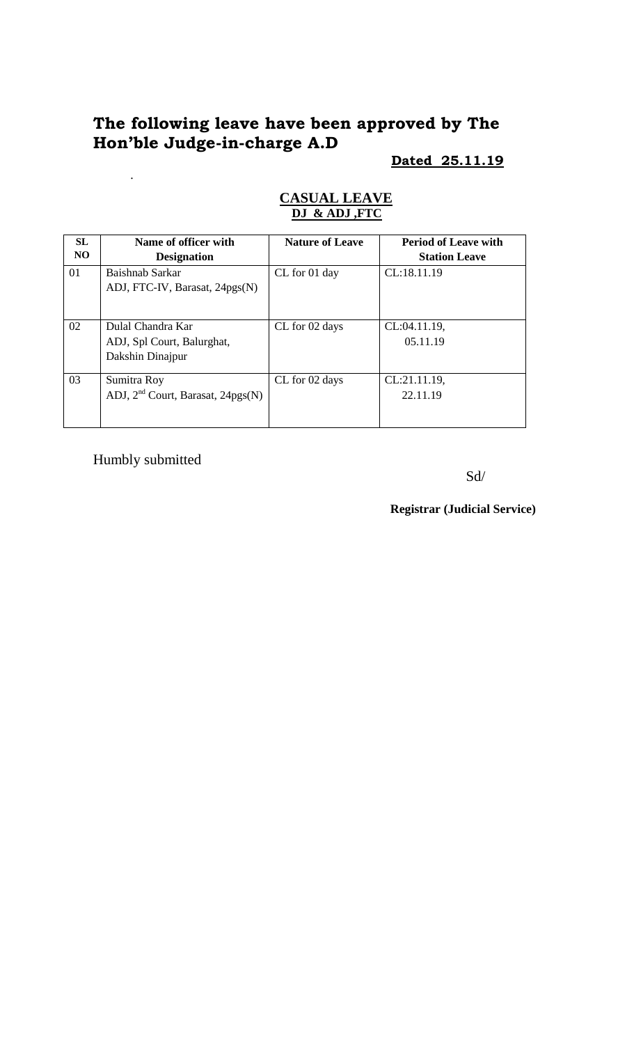# **The following leave have been approved by The Hon'ble Judge-in-charge A.D**

**Dated 25.11.19**

| <b>SL</b><br>N <sub>O</sub> | Name of officer with<br><b>Designation</b>                          | <b>Nature of Leave</b> | <b>Period of Leave with</b><br><b>Station Leave</b> |
|-----------------------------|---------------------------------------------------------------------|------------------------|-----------------------------------------------------|
| 01                          | Baishnab Sarkar<br>ADJ, FTC-IV, Barasat, 24pgs(N)                   | CL for 01 day          | CL:18.11.19                                         |
| 02                          | Dulal Chandra Kar<br>ADJ, Spl Court, Balurghat,<br>Dakshin Dinajpur | CL for 02 days         | CL:04.11.19,<br>05.11.19                            |
| 03                          | Sumitra Roy<br>ADJ, $2nd$ Court, Barasat, $24pgs(N)$                | CL for 02 days         | CL:21.11.19,<br>22.11.19                            |

#### **CASUAL LEAVE DJ & ADJ ,FTC**

Humbly submitted

.

Sd/

**Registrar (Judicial Service)**